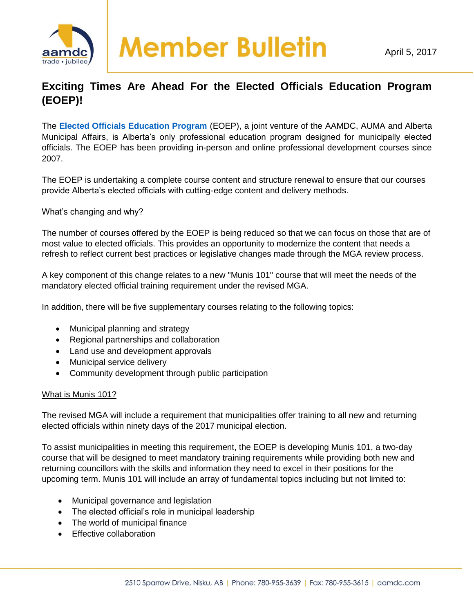

## **Exciting Times Are Ahead For the Elected Officials Education Program (EOEP)!**

The **[Elected Officials Education Program](http://www.eoep.ca/)** (EOEP), a joint venture of the AAMDC, AUMA and Alberta Municipal Affairs, is Alberta's only professional education program designed for municipally elected officials. The EOEP has been providing in-person and online professional development courses since 2007.

The EOEP is undertaking a complete course content and structure renewal to ensure that our courses provide Alberta's elected officials with cutting-edge content and delivery methods.

## What's changing and why?

The number of courses offered by the EOEP is being reduced so that we can focus on those that are of most value to elected officials. This provides an opportunity to modernize the content that needs a refresh to reflect current best practices or legislative changes made through the MGA review process.

A key component of this change relates to a new "Munis 101" course that will meet the needs of the mandatory elected official training requirement under the revised MGA.

In addition, there will be five supplementary courses relating to the following topics:

- Municipal planning and strategy
- Regional partnerships and collaboration
- Land use and development approvals
- Municipal service delivery
- Community development through public participation

## What is Munis 101?

The revised MGA will include a requirement that municipalities offer training to all new and returning elected officials within ninety days of the 2017 municipal election.

To assist municipalities in meeting this requirement, the EOEP is developing Munis 101, a two-day course that will be designed to meet mandatory training requirements while providing both new and returning councillors with the skills and information they need to excel in their positions for the upcoming term. Munis 101 will include an array of fundamental topics including but not limited to:

- Municipal governance and legislation
- The elected official's role in municipal leadership
- The world of municipal finance
- **Effective collaboration**